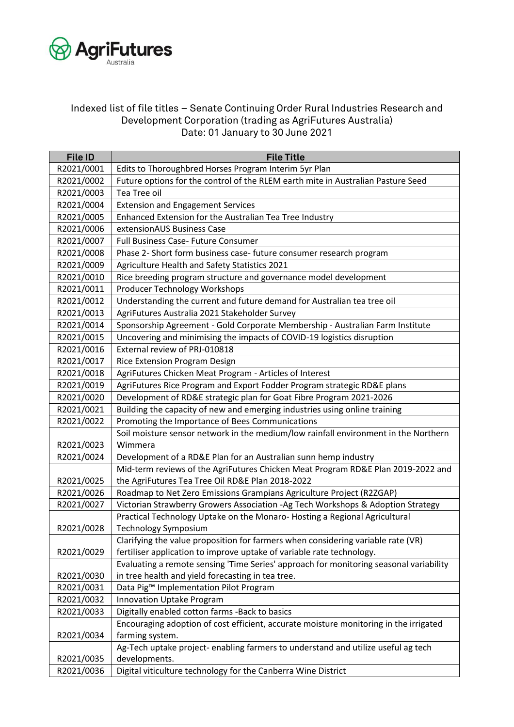

## Indexed list of file titles – Senate Continuing Order Rural Industries Research and Development Corporation (trading as AgriFutures Australia) Date: 01 January to 30 June 2021

| <b>File ID</b> | <b>File Title</b>                                                                      |
|----------------|----------------------------------------------------------------------------------------|
| R2021/0001     | Edits to Thoroughbred Horses Program Interim 5yr Plan                                  |
| R2021/0002     | Future options for the control of the RLEM earth mite in Australian Pasture Seed       |
| R2021/0003     | Tea Tree oil                                                                           |
| R2021/0004     | <b>Extension and Engagement Services</b>                                               |
| R2021/0005     | Enhanced Extension for the Australian Tea Tree Industry                                |
| R2021/0006     | extensionAUS Business Case                                                             |
| R2021/0007     | Full Business Case- Future Consumer                                                    |
| R2021/0008     | Phase 2- Short form business case- future consumer research program                    |
| R2021/0009     | Agriculture Health and Safety Statistics 2021                                          |
| R2021/0010     | Rice breeding program structure and governance model development                       |
| R2021/0011     | Producer Technology Workshops                                                          |
| R2021/0012     | Understanding the current and future demand for Australian tea tree oil                |
| R2021/0013     | AgriFutures Australia 2021 Stakeholder Survey                                          |
| R2021/0014     | Sponsorship Agreement - Gold Corporate Membership - Australian Farm Institute          |
| R2021/0015     | Uncovering and minimising the impacts of COVID-19 logistics disruption                 |
| R2021/0016     | External review of PRJ-010818                                                          |
| R2021/0017     | Rice Extension Program Design                                                          |
| R2021/0018     | AgriFutures Chicken Meat Program - Articles of Interest                                |
| R2021/0019     | AgriFutures Rice Program and Export Fodder Program strategic RD&E plans                |
| R2021/0020     | Development of RD&E strategic plan for Goat Fibre Program 2021-2026                    |
| R2021/0021     | Building the capacity of new and emerging industries using online training             |
| R2021/0022     | Promoting the Importance of Bees Communications                                        |
|                | Soil moisture sensor network in the medium/low rainfall environment in the Northern    |
| R2021/0023     | Wimmera                                                                                |
| R2021/0024     | Development of a RD&E Plan for an Australian sunn hemp industry                        |
|                | Mid-term reviews of the AgriFutures Chicken Meat Program RD&E Plan 2019-2022 and       |
| R2021/0025     | the AgriFutures Tea Tree Oil RD&E Plan 2018-2022                                       |
| R2021/0026     | Roadmap to Net Zero Emissions Grampians Agriculture Project (R2ZGAP)                   |
| R2021/0027     | Victorian Strawberry Growers Association - Ag Tech Workshops & Adoption Strategy       |
|                | Practical Technology Uptake on the Monaro-Hosting a Regional Agricultural              |
| R2021/0028     | <b>Technology Symposium</b>                                                            |
|                | Clarifying the value proposition for farmers when considering variable rate (VR)       |
| R2021/0029     | fertiliser application to improve uptake of variable rate technology.                  |
|                | Evaluating a remote sensing 'Time Series' approach for monitoring seasonal variability |
| R2021/0030     | in tree health and yield forecasting in tea tree.                                      |
| R2021/0031     | Data Pig™ Implementation Pilot Program                                                 |
| R2021/0032     | Innovation Uptake Program                                                              |
| R2021/0033     | Digitally enabled cotton farms -Back to basics                                         |
|                | Encouraging adoption of cost efficient, accurate moisture monitoring in the irrigated  |
| R2021/0034     | farming system.                                                                        |
|                | Ag-Tech uptake project- enabling farmers to understand and utilize useful ag tech      |
| R2021/0035     | developments.                                                                          |
| R2021/0036     | Digital viticulture technology for the Canberra Wine District                          |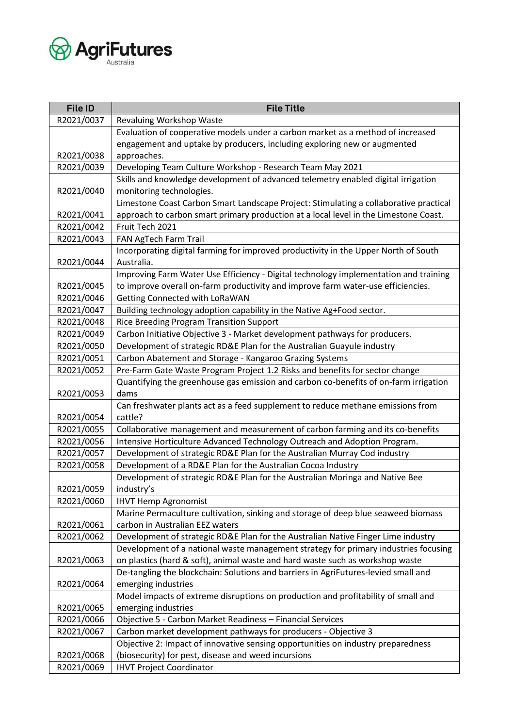

| <b>File ID</b> | <b>File Title</b>                                                                     |
|----------------|---------------------------------------------------------------------------------------|
| R2021/0037     | Revaluing Workshop Waste                                                              |
|                | Evaluation of cooperative models under a carbon market as a method of increased       |
|                | engagement and uptake by producers, including exploring new or augmented              |
| R2021/0038     | approaches.                                                                           |
| R2021/0039     | Developing Team Culture Workshop - Research Team May 2021                             |
|                | Skills and knowledge development of advanced telemetry enabled digital irrigation     |
| R2021/0040     | monitoring technologies.                                                              |
|                | Limestone Coast Carbon Smart Landscape Project: Stimulating a collaborative practical |
| R2021/0041     | approach to carbon smart primary production at a local level in the Limestone Coast.  |
| R2021/0042     | Fruit Tech 2021                                                                       |
| R2021/0043     | FAN AgTech Farm Trail                                                                 |
|                | Incorporating digital farming for improved productivity in the Upper North of South   |
| R2021/0044     | Australia.                                                                            |
|                | Improving Farm Water Use Efficiency - Digital technology implementation and training  |
| R2021/0045     | to improve overall on-farm productivity and improve farm water-use efficiencies.      |
| R2021/0046     | <b>Getting Connected with LoRaWAN</b>                                                 |
| R2021/0047     | Building technology adoption capability in the Native Ag+Food sector.                 |
| R2021/0048     | Rice Breeding Program Transition Support                                              |
| R2021/0049     | Carbon Initiative Objective 3 - Market development pathways for producers.            |
| R2021/0050     | Development of strategic RD&E Plan for the Australian Guayule industry                |
| R2021/0051     | Carbon Abatement and Storage - Kangaroo Grazing Systems                               |
| R2021/0052     | Pre-Farm Gate Waste Program Project 1.2 Risks and benefits for sector change          |
|                | Quantifying the greenhouse gas emission and carbon co-benefits of on-farm irrigation  |
| R2021/0053     | dams                                                                                  |
|                | Can freshwater plants act as a feed supplement to reduce methane emissions from       |
| R2021/0054     | cattle?                                                                               |
| R2021/0055     | Collaborative management and measurement of carbon farming and its co-benefits        |
| R2021/0056     | Intensive Horticulture Advanced Technology Outreach and Adoption Program.             |
| R2021/0057     | Development of strategic RD&E Plan for the Australian Murray Cod industry             |
| R2021/0058     | Development of a RD&E Plan for the Australian Cocoa Industry                          |
|                | Development of strategic RD&E Plan for the Australian Moringa and Native Bee          |
| R2021/0059     | industry's                                                                            |
| R2021/0060     | <b>IHVT Hemp Agronomist</b>                                                           |
|                | Marine Permaculture cultivation, sinking and storage of deep blue seaweed biomass     |
| R2021/0061     | carbon in Australian EEZ waters                                                       |
| R2021/0062     | Development of strategic RD&E Plan for the Australian Native Finger Lime industry     |
|                | Development of a national waste management strategy for primary industries focusing   |
| R2021/0063     | on plastics (hard & soft), animal waste and hard waste such as workshop waste         |
|                | De-tangling the blockchain: Solutions and barriers in AgriFutures-levied small and    |
| R2021/0064     | emerging industries                                                                   |
|                | Model impacts of extreme disruptions on production and profitability of small and     |
| R2021/0065     | emerging industries                                                                   |
| R2021/0066     | Objective 5 - Carbon Market Readiness - Financial Services                            |
| R2021/0067     | Carbon market development pathways for producers - Objective 3                        |
|                | Objective 2: Impact of innovative sensing opportunities on industry preparedness      |
| R2021/0068     | (biosecurity) for pest, disease and weed incursions                                   |
| R2021/0069     | <b>IHVT Project Coordinator</b>                                                       |